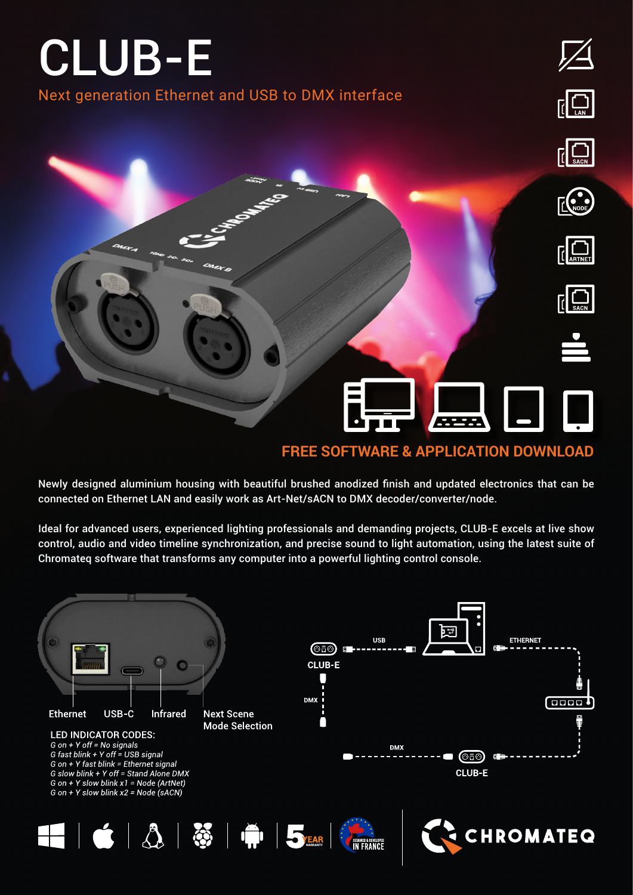# CLUB-E

Next generation Ethernet and USB to DMX interface











ÆSR **FREE SOFTWARE & APPLICATION DOWNLOAD**

Newly designed aluminium housing with beautiful brushed anodized finish and updated electronics that can be connected on Ethernet LAN and easily work as Art-Net/sACN to DMX decoder/converter/node.

Ideal for advanced users, experienced lighting professionals and demanding projects, CLUB-E excels at live show control, audio and video timeline synchronization, and precise sound to light automation, using the latest suite of Chromateq software that transforms any computer into a powerful lighting control console.